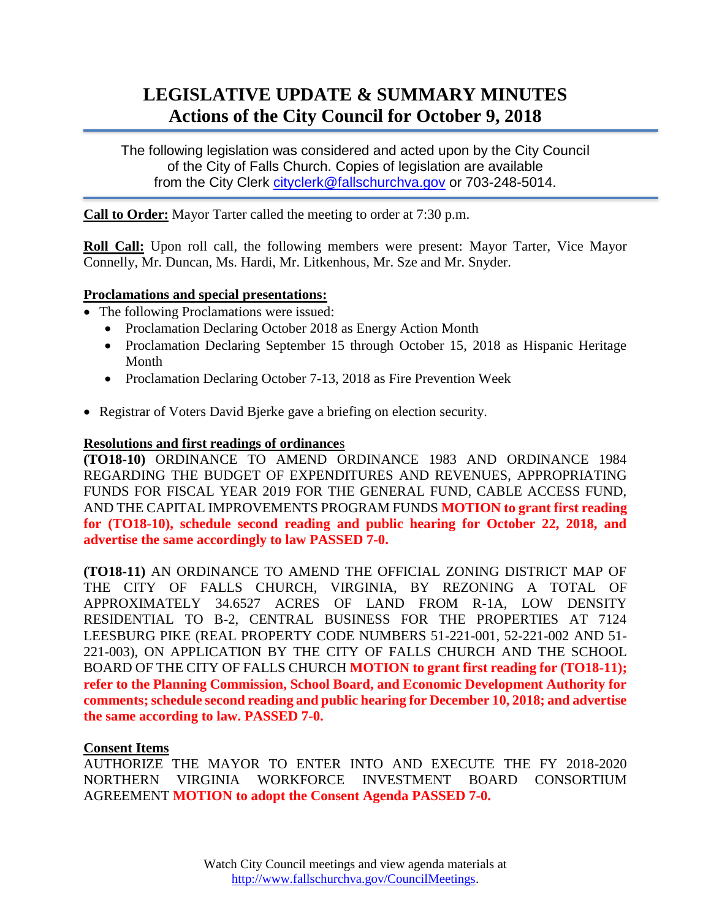# **LEGISLATIVE UPDATE & SUMMARY MINUTES Actions of the City Council for October 9, 2018**

The following legislation was considered and acted upon by the City Council of the City of Falls Church. Copies of legislation are available from the City Clerk [cityclerk@fallschurchva.gov](mailto:cityclerk@fallschurchva.gov) or 703-248-5014.

**Call to Order:** Mayor Tarter called the meeting to order at 7:30 p.m.

**Roll Call:** Upon roll call, the following members were present: Mayor Tarter, Vice Mayor Connelly, Mr. Duncan, Ms. Hardi, Mr. Litkenhous, Mr. Sze and Mr. Snyder.

## **Proclamations and special presentations:**

- The following Proclamations were issued:
	- Proclamation Declaring October 2018 as Energy Action Month
	- Proclamation Declaring September 15 through October 15, 2018 as Hispanic Heritage Month
	- Proclamation Declaring October 7-13, 2018 as Fire Prevention Week
- Registrar of Voters David Bjerke gave a briefing on election security.

#### **Resolutions and first readings of ordinance**s

**(TO18-10)** ORDINANCE TO AMEND ORDINANCE 1983 AND ORDINANCE 1984 REGARDING THE BUDGET OF EXPENDITURES AND REVENUES, APPROPRIATING FUNDS FOR FISCAL YEAR 2019 FOR THE GENERAL FUND, CABLE ACCESS FUND, AND THE CAPITAL IMPROVEMENTS PROGRAM FUNDS **MOTION to grant first reading for (TO18-10), schedule second reading and public hearing for October 22, 2018, and advertise the same accordingly to law PASSED 7-0.**

**(TO18-11)** AN ORDINANCE TO AMEND THE OFFICIAL ZONING DISTRICT MAP OF THE CITY OF FALLS CHURCH, VIRGINIA, BY REZONING A TOTAL OF APPROXIMATELY 34.6527 ACRES OF LAND FROM R-1A, LOW DENSITY RESIDENTIAL TO B-2, CENTRAL BUSINESS FOR THE PROPERTIES AT 7124 LEESBURG PIKE (REAL PROPERTY CODE NUMBERS 51-221-001, 52-221-002 AND 51- 221-003), ON APPLICATION BY THE CITY OF FALLS CHURCH AND THE SCHOOL BOARD OF THE CITY OF FALLS CHURCH **MOTION to grant first reading for (TO18-11); refer to the Planning Commission, School Board, and Economic Development Authority for comments; schedule second reading and public hearing for December 10, 2018; and advertise the same according to law. PASSED 7-0.**

#### **Consent Items**

AUTHORIZE THE MAYOR TO ENTER INTO AND EXECUTE THE FY 2018-2020 NORTHERN VIRGINIA WORKFORCE INVESTMENT BOARD CONSORTIUM AGREEMENT **MOTION to adopt the Consent Agenda PASSED 7-0.**